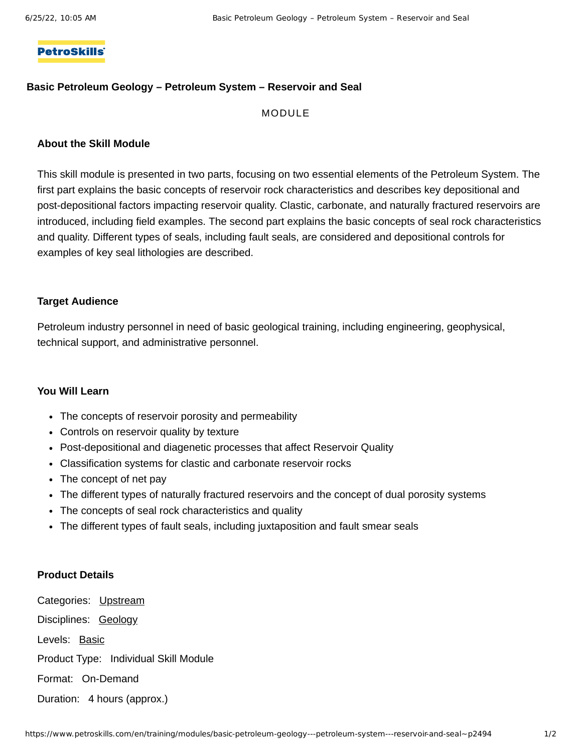## **PetroSkills**

## **Basic Petroleum Geology – Petroleum System – Reservoir and Seal**

## MODULE

#### **About the Skill Module**

This skill module is presented in two parts, focusing on two essential elements of the Petroleum System. The first part explains the basic concepts of reservoir rock characteristics and describes key depositional and post-depositional factors impacting reservoir quality. Clastic, carbonate, and naturally fractured reservoirs are introduced, including field examples. The second part explains the basic concepts of seal rock characteristics and quality. Different types of seals, including fault seals, are considered and depositional controls for examples of key seal lithologies are described.

#### **Target Audience**

Petroleum industry personnel in need of basic geological training, including engineering, geophysical, technical support, and administrative personnel.

#### **You Will Learn**

- The concepts of reservoir porosity and permeability
- Controls on reservoir quality by texture
- Post-depositional and diagenetic processes that affect Reservoir Quality
- Classification systems for clastic and carbonate reservoir rocks
- The concept of net pay
- The different types of naturally fractured reservoirs and the concept of dual porosity systems
- The concepts of seal rock characteristics and quality
- The different types of fault seals, including juxtaposition and fault smear seals

## **Product Details**

Categories: [Upstream](https://www.petroskills.com/training/categories/upstream) Disciplines: [Geology](https://www.petroskills.com/training/geology) Levels: [Basic](https://www.petroskills.com/training/modules?level_type%5B%5D=Basic) Product Type: Individual Skill Module Format: On-Demand Duration: 4 hours (approx.)